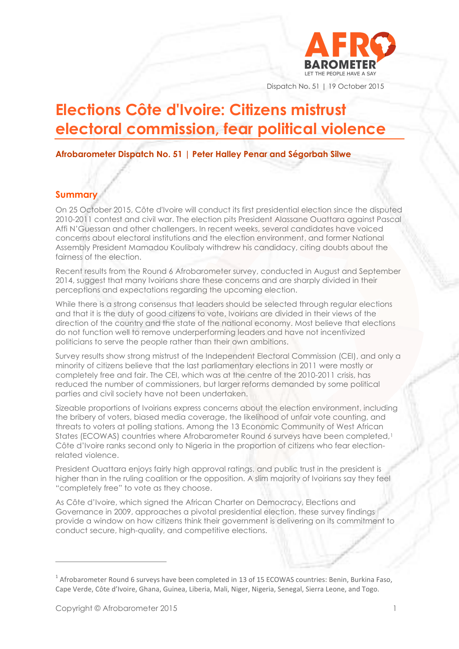

Dispatch No. 51 | 19 October 2015

# **Elections Côte d'Ivoire: Citizens mistrust electoral commission, fear political violence**

**Afrobarometer Dispatch No. 51 | Peter Halley Penar and Ségorbah Silwe** 

### **Summary**

On 25 October 2015, Côte d'Ivoire will conduct its first presidential election since the disputed 2010-2011 contest and civil war. The election pits President Alassane Ouattara against Pascal Affi N'Guessan and other challengers. In recent weeks, several candidates have voiced concerns about electoral institutions and the election environment, and former National Assembly President Mamadou Koulibaly withdrew his candidacy, citing doubts about the fairness of the election.

Recent results from the Round 6 Afrobarometer survey, conducted in August and September 2014, suggest that many Ivoirians share these concerns and are sharply divided in their perceptions and expectations regarding the upcoming election.

While there is a strong consensus that leaders should be selected through regular elections and that it is the duty of good citizens to vote, Ivoirians are divided in their views of the direction of the country and the state of the national economy. Most believe that elections do not function well to remove underperforming leaders and have not incentivized politicians to serve the people rather than their own ambitions.

Survey results show strong mistrust of the Independent Electoral Commission (CEI), and only a minority of citizens believe that the last parliamentary elections in 2011 were mostly or completely free and fair. The CEI, which was at the centre of the 2010-2011 crisis, has reduced the number of commissioners, but larger reforms demanded by some political parties and civil society have not been undertaken.

Sizeable proportions of Ivoirians express concerns about the election environment, including the bribery of voters, biased media coverage, the likelihood of unfair vote counting, and threats to voters at polling stations. Among the 13 Economic Community of West African States (ECOWAS) countries where Afrobarometer Round 6 surveys have been completed,<sup>1</sup> Côte d'Ivoire ranks second only to Nigeria in the proportion of citizens who fear electionrelated violence.

President Ouattara enjoys fairly high approval ratings, and public trust in the president is higher than in the ruling coalition or the opposition. A slim majority of Ivoirians say they feel "completely free" to vote as they choose.

As Côte d'Ivoire, which signed the African Charter on Democracy, Elections and Governance in 2009, approaches a pivotal presidential election, these survey findings provide a window on how citizens think their government is delivering on its commitment to conduct secure, high-quality, and competitive elections.

 $1$  Afrobarometer Round 6 surveys have been completed in 13 of 15 ECOWAS countries: Benin, Burkina Faso, Cape Verde, Côte d'Ivoire, Ghana, Guinea, Liberia, Mali, Niger, Nigeria, Senegal, Sierra Leone, and Togo.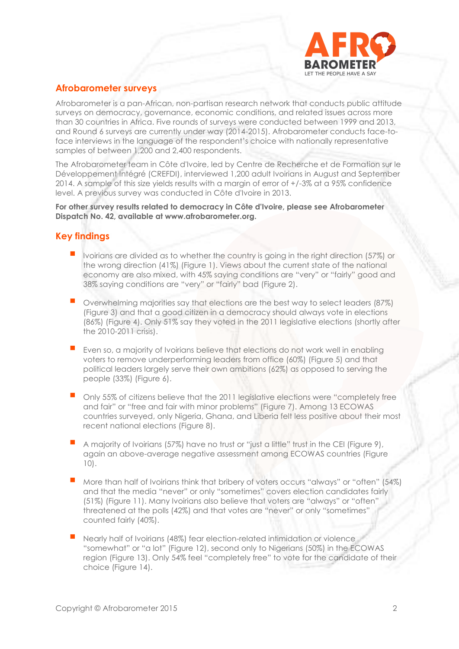

# **Afrobarometer surveys**

Afrobarometer is a pan-African, non-partisan research network that conducts public attitude surveys on democracy, governance, economic conditions, and related issues across more than 30 countries in Africa. Five rounds of surveys were conducted between 1999 and 2013, and Round 6 surveys are currently under way (2014-2015). Afrobarometer conducts face-toface interviews in the language of the respondent's choice with nationally representative samples of between 1,200 and 2,400 respondents.

The Afrobarometer team in Côte d'Ivoire, led by Centre de Recherche et de Formation sur le Développement Intégré (CREFDI), interviewed 1,200 adult Ivoirians in August and September 2014. A sample of this size yields results with a margin of error of +/-3% at a 95% confidence level. A previous survey was conducted in Côte d'Ivoire in 2013.

**For other survey results related to democracy in Côte d'Ivoire, please see Afrobarometer Dispatch No. 42, available at www.afrobarometer.org.**

# **Key findings**

- Ivoirians are divided as to whether the country is going in the right direction (57%) or the wrong direction (41%) (Figure 1). Views about the current state of the national economy are also mixed, with 45% saying conditions are "very" or "fairly" good and 38% saying conditions are "very" or "fairly" bad (Figure 2).
- Overwhelming majorities say that elections are the best way to select leaders (87%) (Figure 3) and that a good citizen in a democracy should always vote in elections (86%) (Figure 4). Only 51% say they voted in the 2011 legislative elections (shortly after the 2010-2011 crisis).
- Even so, a majority of Ivoirians believe that elections do not work well in enabling voters to remove underperforming leaders from office (60%) (Figure 5) and that political leaders largely serve their own ambitions (62%) as opposed to serving the people (33%) (Figure 6).
- Only 55% of citizens believe that the 2011 legislative elections were "completely free and fair" or "free and fair with minor problems" (Figure 7). Among 13 ECOWAS countries surveyed, only Nigeria, Ghana, and Liberia felt less positive about their most recent national elections (Figure 8).
- <sup>A</sup> majority of Ivoirians (57%) have no trust or "just a little" trust in the CEI (Figure 9), again an above-average negative assessment among ECOWAS countries (Figure 10).
- More than half of Ivoirians think that bribery of voters occurs "always" or "often" (54%) and that the media "never" or only "sometimes" covers election candidates fairly (51%) (Figure 11). Many Ivoirians also believe that voters are "always" or "often" threatened at the polls (42%) and that votes are "never" or only "sometimes" counted fairly (40%).
- Nearly half of Ivoirians (48%) fear election-related intimidation or violence "somewhat" or "a lot" (Figure 12), second only to Nigerians (50%) in the ECOWAS region (Figure 13). Only 54% feel "completely free" to vote for the candidate of their choice (Figure 14).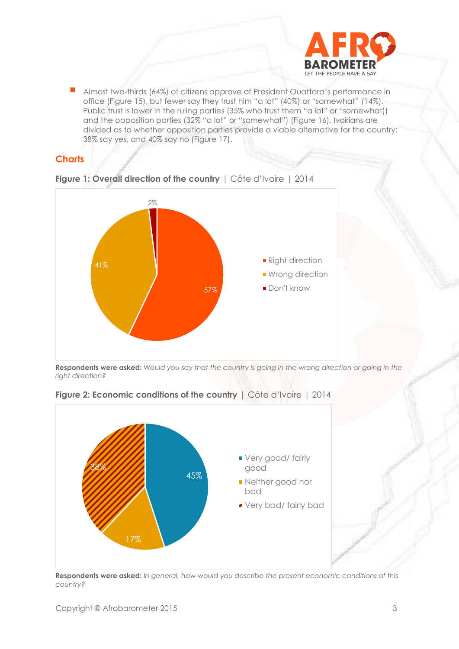

 Almost two-thirds (64%) of citizens approve of President Ouattara's performance in office (Figure 15), but fewer say they trust him "a lot" (40%) or "somewhat" (14%). Public trust is lower in the ruling parties (35% who trust them "a lot" or "somewhat)) and the opposition parties (32% "a lot" or "somewhat") (Figure 16). Ivoirians are divided as to whether opposition parties provide a viable alternative for the country: 38% say yes, and 40% say no (Figure 17).

### **Charts**



**Figure 1: Overall direction of the country** | Côte d'Ivoire | 2014

**Respondents were asked:** *Would you say that the country is going in the wrong direction or going in the right direction?*



**Figure 2: Economic conditions of the country** | Côte d'Ivoire | 2014

**Respondents were asked:** *In general, how would you describe the present economic conditions of this country?*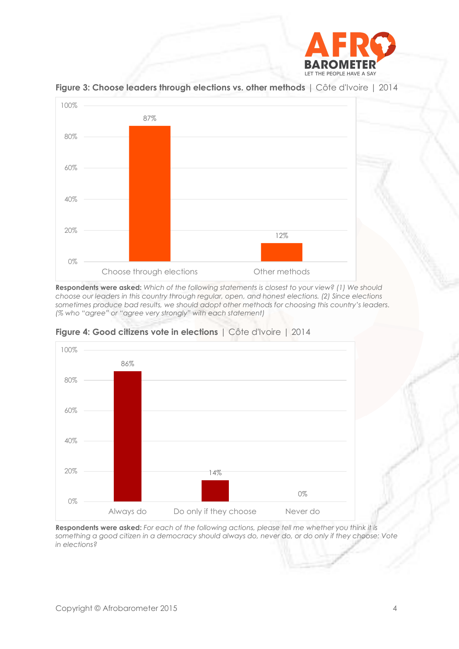



**Figure 3: Choose leaders through elections vs. other methods** | Côte d'Ivoire | 2014

**Respondents were asked:** *Which of the following statements is closest to your view? (1) We should choose our leaders in this country through regular, open, and honest elections. (2) Since elections sometimes produce bad results, we should adopt other methods for choosing this country's leaders. (% who "agree" or "agree very strongly" with each statement)*



**Figure 4: Good citizens vote in elections** | Côte d'Ivoire | 2014

**Respondents were asked:** *For each of the following actions, please tell me whether you think it is something a good citizen in a democracy should always do, never do, or do only if they choose: Vote in elections?*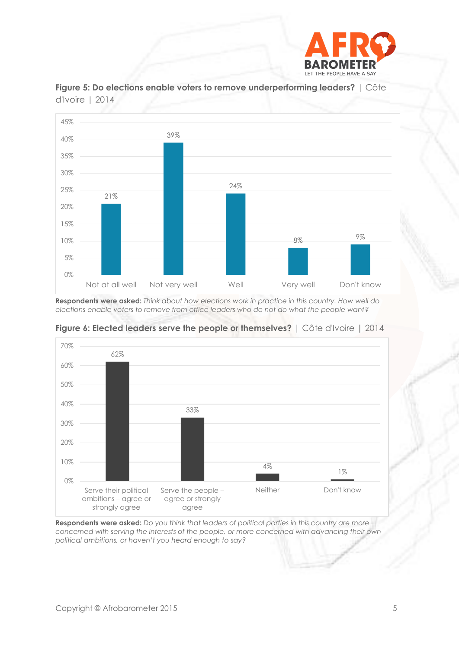





**Respondents were asked:** *Think about how elections work in practice in this country. How well do elections enable voters to remove from office leaders who do not do what the people want?*



**Figure 6: Elected leaders serve the people or themselves?** | Côte d'Ivoire | 2014

**Respondents were asked:** *Do you think that leaders of political parties in this country are more concerned with serving the interests of the people, or more concerned with advancing their own political ambitions, or haven't you heard enough to say?*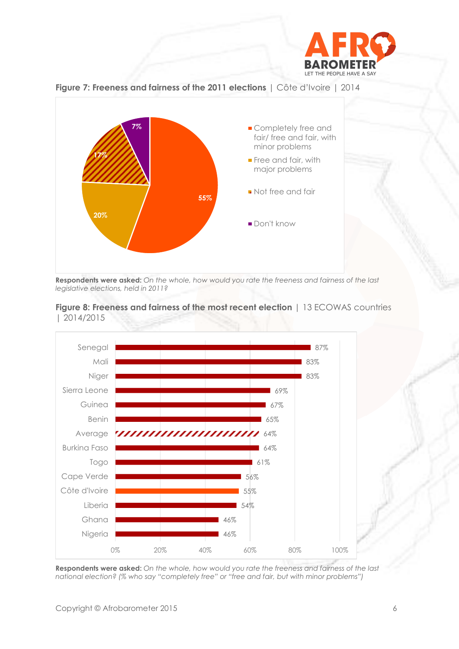









**Respondents were asked:** *On the whole, how would you rate the freeness and fairness of the last national election? (% who say "completely free" or "free and fair, but with minor problems")*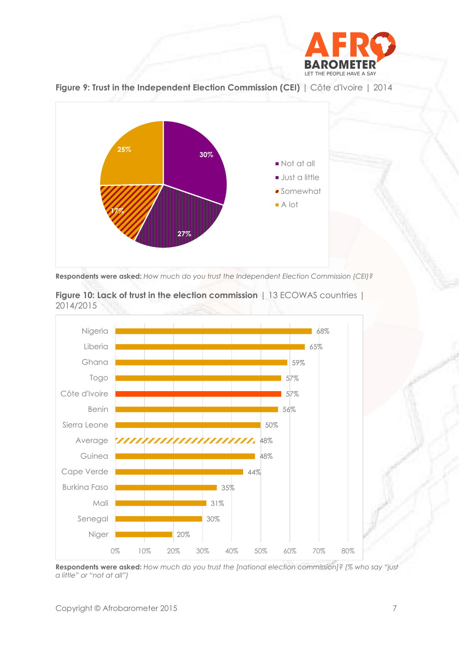



**Figure 9: Trust in the Independent Election Commission (CEI)** | Côte d'Ivoire | 2014

**Respondents were asked:** *How much do you trust the Independent Election Commission (CEI)?*



**Figure 10: Lack of trust in the election commission** | 13 ECOWAS countries | 2014/2015

**Respondents were asked:** *How much do you trust the [national election commission]? (% who say "just a little" or "not at all")*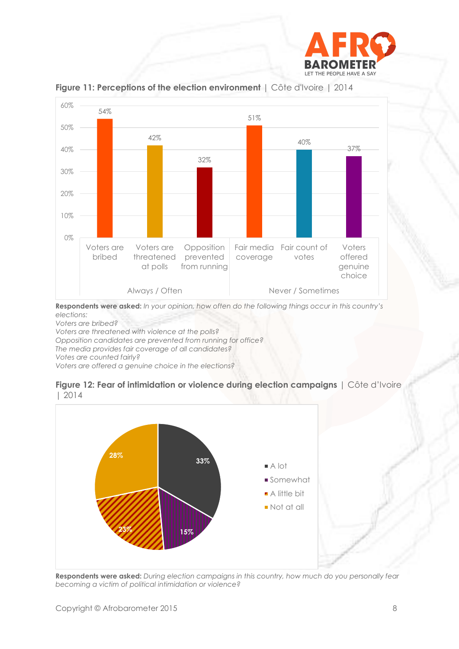



**Figure 11: Perceptions of the election environment** | Côte d'Ivoire | 2014

**Respondents were asked:** *In your opinion, how often do the following things occur in this country's elections:*

*Voters are bribed?*

*Voters are threatened with violence at the polls?*

*Opposition candidates are prevented from running for office?*

*The media provides fair coverage of all candidates?*

*Votes are counted fairly?*

*Voters are offered a genuine choice in the elections?*





**Respondents were asked:** *During election campaigns in this country, how much do you personally fear becoming a victim of political intimidation or violence?*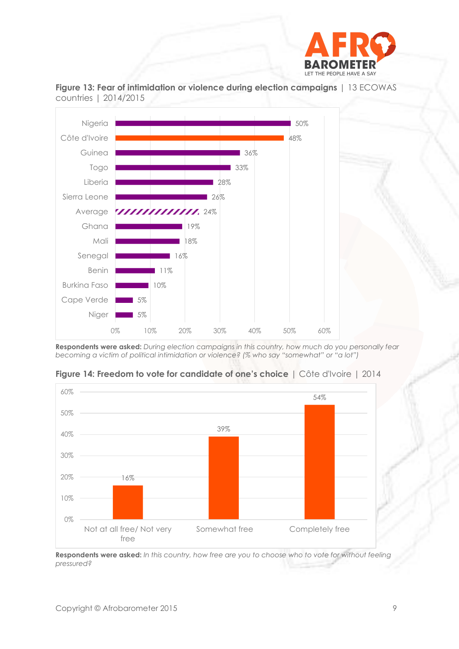



**Figure 13: Fear of intimidation or violence during election campaigns** | 13 ECOWAS countries | 2014/2015

**Respondents were asked:** *During election campaigns in this country, how much do you personally fear becoming a victim of political intimidation or violence? (% who say "somewhat" or "a lot")*



**Figure 14: Freedom to vote for candidate of one's choice** | Côte d'Ivoire | 2014

**Respondents were asked:** *In this country, how free are you to choose who to vote for without feeling pressured?*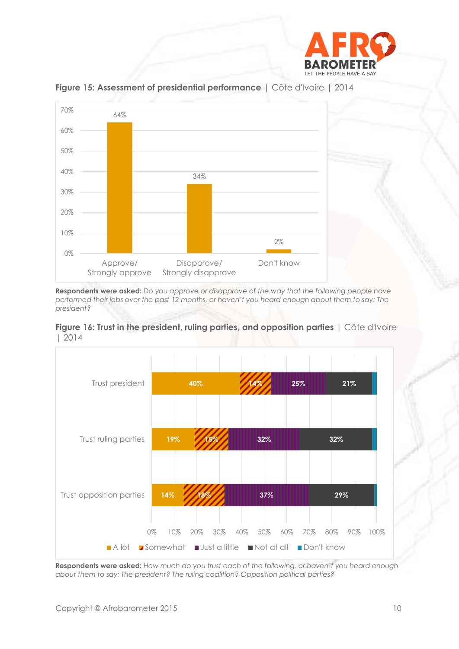



**Figure 15: Assessment of presidential performance** | Côte d'Ivoire | 2014

**Respondents were asked:** *Do you approve or disapprove of the way that the following people have performed their jobs over the past 12 months, or haven't you heard enough about them to say: The president?*





**Respondents were asked:** *How much do you trust each of the following, or haven't you heard enough about them to say: The president? The ruling coalition? Opposition political parties?*